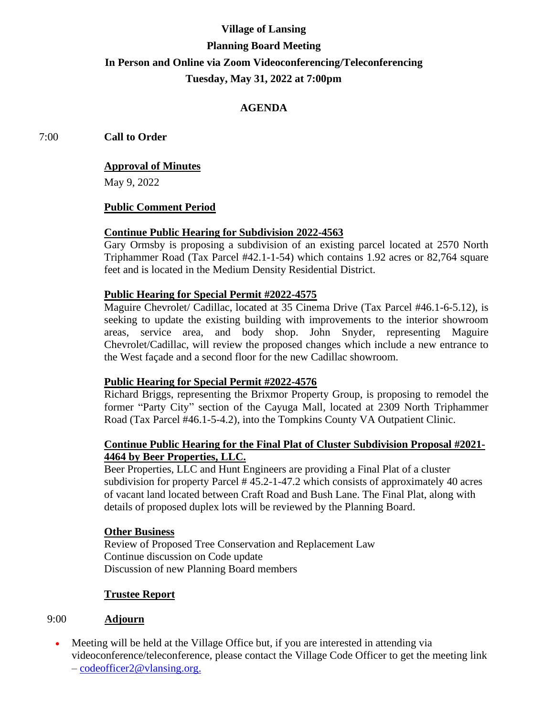# **Village of Lansing Planning Board Meeting In Person and Online via Zoom Videoconferencing/Teleconferencing Tuesday, May 31, 2022 at 7:00pm**

# **AGENDA**

7:00 **Call to Order**

### **Approval of Minutes**

May 9, 2022

## **Public Comment Period**

#### **Continue Public Hearing for Subdivision 2022-4563**

Gary Ormsby is proposing a subdivision of an existing parcel located at 2570 North Triphammer Road (Tax Parcel #42.1-1-54) which contains 1.92 acres or 82,764 square feet and is located in the Medium Density Residential District.

#### **Public Hearing for Special Permit #2022-4575**

Maguire Chevrolet/ Cadillac, located at 35 Cinema Drive (Tax Parcel #46.1-6-5.12), is seeking to update the existing building with improvements to the interior showroom areas, service area, and body shop. John Snyder, representing Maguire Chevrolet/Cadillac, will review the proposed changes which include a new entrance to the West façade and a second floor for the new Cadillac showroom.

## **Public Hearing for Special Permit #2022-4576**

Richard Briggs, representing the Brixmor Property Group, is proposing to remodel the former "Party City" section of the Cayuga Mall, located at 2309 North Triphammer Road (Tax Parcel #46.1-5-4.2), into the Tompkins County VA Outpatient Clinic.

## **Continue Public Hearing for the Final Plat of Cluster Subdivision Proposal #2021- 4464 by Beer Properties, LLC.**

Beer Properties, LLC and Hunt Engineers are providing a Final Plat of a cluster subdivision for property Parcel # 45.2-1-47.2 which consists of approximately 40 acres of vacant land located between Craft Road and Bush Lane. The Final Plat, along with details of proposed duplex lots will be reviewed by the Planning Board.

#### **Other Business**

Review of Proposed Tree Conservation and Replacement Law Continue discussion on Code update Discussion of new Planning Board members

#### **Trustee Report**

## 9:00 **Adjourn**

• Meeting will be held at the Village Office but, if you are interested in attending via videoconference/teleconference, please contact the Village Code Officer to get the meeting link – [codeofficer2@vlansing.org.](mailto:codeofficer2@vlansing.org)